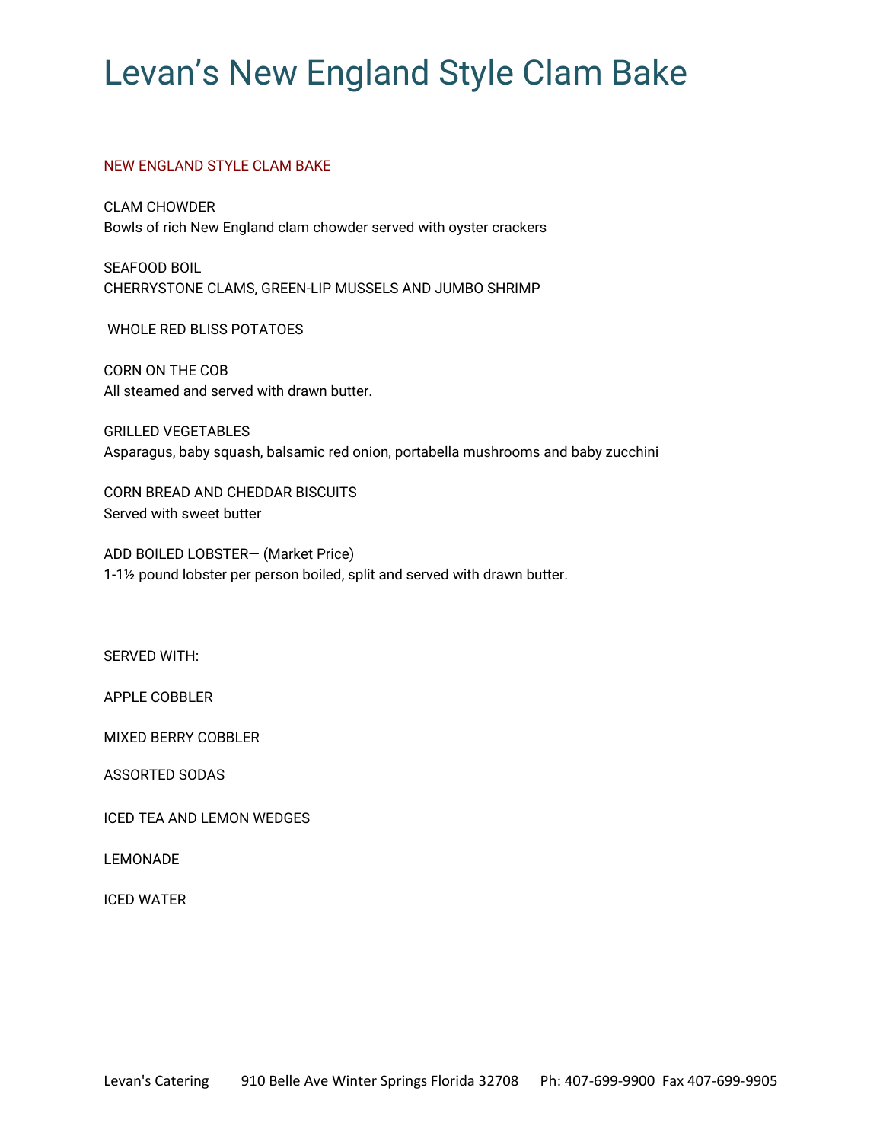# Levan's New England Style Clam Bake

## NEW ENGLAND STYLE CLAM BAKE

CLAM CHOWDER Bowls of rich New England clam chowder served with oyster crackers

SEAFOOD BOIL CHERRYSTONE CLAMS, GREEN-LIP MUSSELS AND JUMBO SHRIMP

WHOLE RED BLISS POTATOES

CORN ON THE COB All steamed and served with drawn butter.

GRILLED VEGETABLES Asparagus, baby squash, balsamic red onion, portabella mushrooms and baby zucchini

CORN BREAD AND CHEDDAR BISCUITS Served with sweet butter

ADD BOILED LOBSTER— (Market Price) 1-1½ pound lobster per person boiled, split and served with drawn butter.

SERVED WITH:

APPLE COBBLER

MIXED BERRY COBBLER

ASSORTED SODAS

ICED TEA AND LEMON WEDGES

LEMONADE

ICED WATER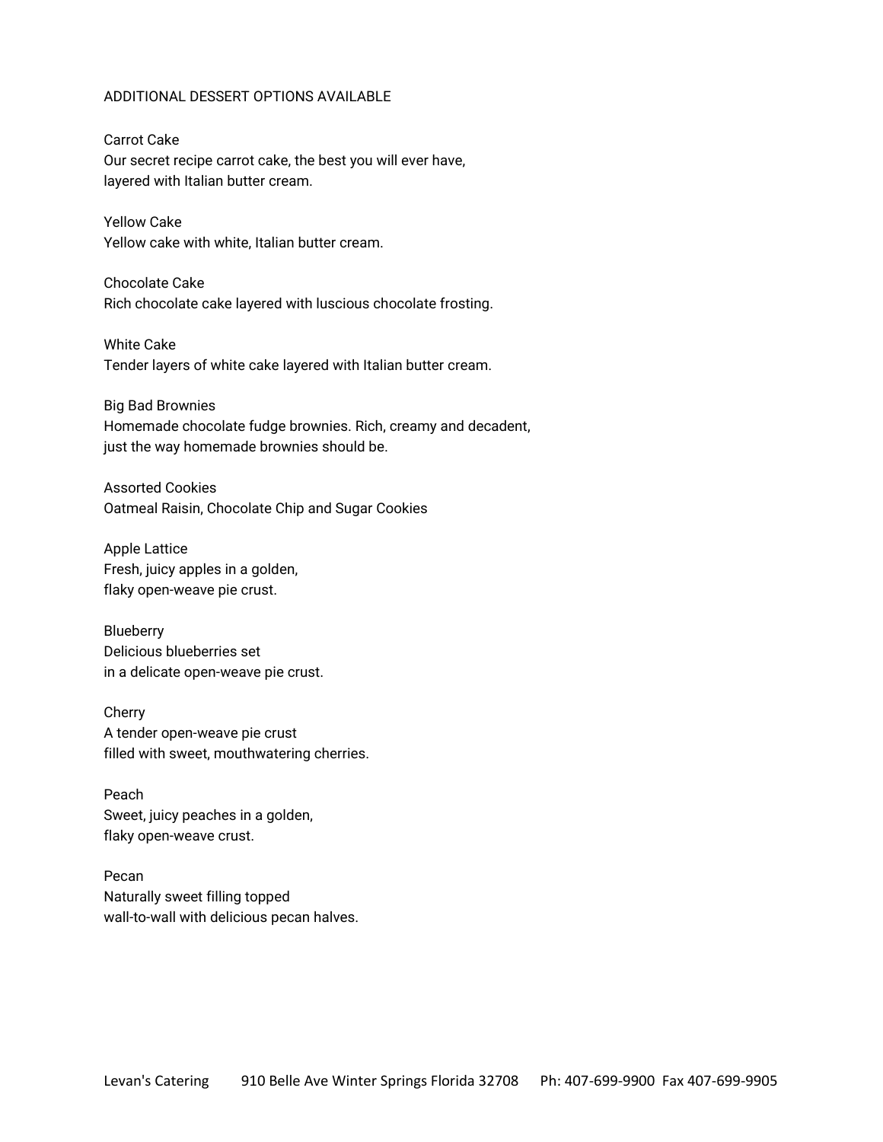#### ADDITIONAL DESSERT OPTIONS AVAILABLE

Carrot Cake Our secret recipe carrot cake, the best you will ever have, layered with Italian butter cream.

Yellow Cake Yellow cake with white, Italian butter cream.

Chocolate Cake Rich chocolate cake layered with luscious chocolate frosting.

White Cake Tender layers of white cake layered with Italian butter cream.

Big Bad Brownies Homemade chocolate fudge brownies. Rich, creamy and decadent, just the way homemade brownies should be.

Assorted Cookies Oatmeal Raisin, Chocolate Chip and Sugar Cookies

Apple Lattice Fresh, juicy apples in a golden, flaky open-weave pie crust.

Blueberry Delicious blueberries set in a delicate open-weave pie crust.

Cherry A tender open-weave pie crust filled with sweet, mouthwatering cherries.

Peach Sweet, juicy peaches in a golden, flaky open-weave crust.

Pecan Naturally sweet filling topped wall-to-wall with delicious pecan halves.